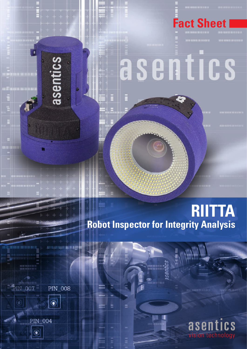

## **Fact Sheet I**

## asentics

**RIITTA Robot Inspector for Integrity Analysis** 



**IQUE** 

asentics



**PIN\_004** 

 $\overline{)}$ 

IN  $007$ 

**ics** asen vision technology